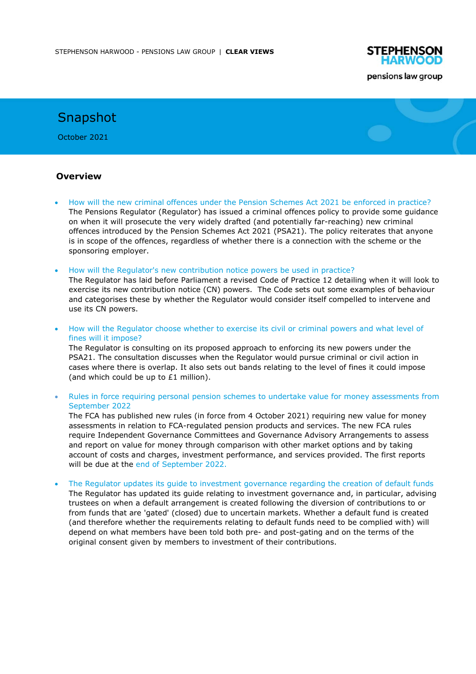

# Snapshot

October 2021

### **Overview**

- How will the new criminal offences under the Pension Schemes Act 2021 be enforced in practice? The Pensions Regulator (Regulator) has issued a criminal offences policy to provide some guidance on when it will prosecute the very widely drafted (and potentially far-reaching) new criminal offences introduced by the Pension Schemes Act 2021 (PSA21). The policy reiterates that anyone is in scope of the offences, regardless of whether there is a connection with the scheme or the sponsoring employer.
- How will the Regulator's new contribution notice powers be used in practice?

The Regulator has laid before Parliament a revised Code of Practice 12 detailing when it will look to exercise its new contribution notice (CN) powers. The Code sets out some examples of behaviour and categorises these by whether the Regulator would consider itself compelled to intervene and use its CN powers.

• How will the Regulator choose whether to exercise its civil or criminal powers and what level of fines will it impose?

The Regulator is consulting on its proposed approach to enforcing its new powers under the PSA21. The consultation discusses when the Regulator would pursue criminal or civil action in cases where there is overlap. It also sets out bands relating to the level of fines it could impose (and which could be up to £1 million).

• Rules in force requiring personal pension schemes to undertake value for money assessments from September 2022

The FCA has published new rules (in force from 4 October 2021) requiring new value for money assessments in relation to FCA-regulated pension products and services. The new FCA rules require Independent Governance Committees and Governance Advisory Arrangements to assess and report on value for money through comparison with other market options and by taking account of costs and charges, investment performance, and services provided. The first reports will be due at the end of September 2022.

• The Regulator updates its guide to investment governance regarding the creation of default funds

The Regulator has updated its guide relating to investment governance and, in particular, advising trustees on when a default arrangement is created following the diversion of contributions to or from funds that are 'gated' (closed) due to uncertain markets. Whether a default fund is created (and therefore whether the requirements relating to default funds need to be complied with) will depend on what members have been told both pre- and post-gating and on the terms of the original consent given by members to investment of their contributions.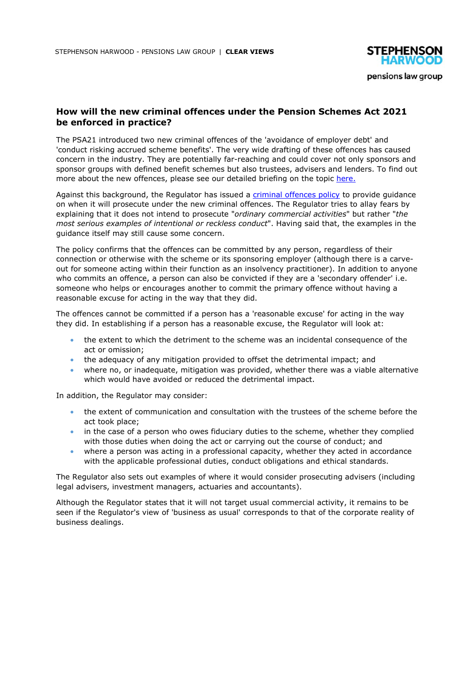

## **How will the new criminal offences under the Pension Schemes Act 2021 be enforced in practice?**

The PSA21 introduced two new criminal offences of the 'avoidance of employer debt' and 'conduct risking accrued scheme benefits'. The very wide drafting of these offences has caused concern in the industry. They are potentially far-reaching and could cover not only sponsors and sponsor groups with defined benefit schemes but also trustees, advisers and lenders. To find out more about the new offences, please see our detailed briefing on the topic here.

Against this background, the Regulator has issued a criminal offences policy to provide guidance on when it will prosecute under the new criminal offences. The Regulator tries to allay fears by explaining that it does not intend to prosecute "*ordinary commercial activities*" but rather "*the most serious examples of intentional or reckless conduct*". Having said that, the examples in the guidance itself may still cause some concern.

The policy confirms that the offences can be committed by any person, regardless of their connection or otherwise with the scheme or its sponsoring employer (although there is a carveout for someone acting within their function as an insolvency practitioner). In addition to anyone who commits an offence, a person can also be convicted if they are a 'secondary offender' i.e. someone who helps or encourages another to commit the primary offence without having a reasonable excuse for acting in the way that they did.

The offences cannot be committed if a person has a 'reasonable excuse' for acting in the way they did. In establishing if a person has a reasonable excuse, the Regulator will look at:

- the extent to which the detriment to the scheme was an incidental consequence of the act or omission;
- the adequacy of any mitigation provided to offset the detrimental impact; and
- where no, or inadequate, mitigation was provided, whether there was a viable alternative which would have avoided or reduced the detrimental impact.

In addition, the Regulator may consider:

- the extent of communication and consultation with the trustees of the scheme before the act took place;
- in the case of a person who owes fiduciary duties to the scheme, whether they complied with those duties when doing the act or carrying out the course of conduct; and
- where a person was acting in a professional capacity, whether they acted in accordance with the applicable professional duties, conduct obligations and ethical standards.

The Regulator also sets out examples of where it would consider prosecuting advisers (including legal advisers, investment managers, actuaries and accountants).

Although the Regulator states that it will not target usual commercial activity, it remains to be seen if the Regulator's view of 'business as usual' corresponds to that of the corporate reality of business dealings.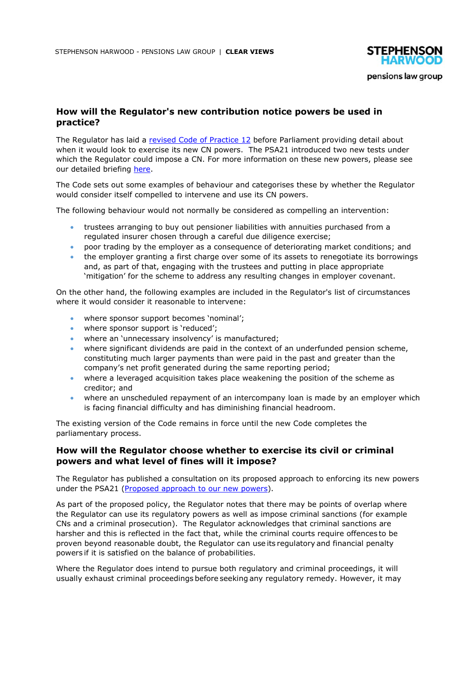

# **How will the Regulator's new contribution notice powers be used in practice?**

The Regulator has laid a revised Code of Practice 12 before Parliament providing detail about when it would look to exercise its new CN powers. The PSA21 introduced two new tests under which the Regulator could impose a CN. For more information on these new powers, please see our detailed briefing here.

The Code sets out some examples of behaviour and categorises these by whether the Regulator would consider itself compelled to intervene and use its CN powers.

The following behaviour would not normally be considered as compelling an intervention:

- trustees arranging to buy out pensioner liabilities with annuities purchased from a regulated insurer chosen through a careful due diligence exercise;
- poor trading by the employer as a consequence of deteriorating market conditions; and
- the employer granting a first charge over some of its assets to renegotiate its borrowings and, as part of that, engaging with the trustees and putting in place appropriate 'mitigation' for the scheme to address any resulting changes in employer covenant.

On the other hand, the following examples are included in the Regulator's list of circumstances where it would consider it reasonable to intervene:

- where sponsor support becomes 'nominal';
- where sponsor support is 'reduced';
- where an 'unnecessary insolvency' is manufactured;
- where significant dividends are paid in the context of an underfunded pension scheme. constituting much larger payments than were paid in the past and greater than the company's net profit generated during the same reporting period;
- where a leveraged acquisition takes place weakening the position of the scheme as creditor; and
- where an unscheduled repayment of an intercompany loan is made by an employer which is facing financial difficulty and has diminishing financial headroom.

The existing version of the Code remains in force until the new Code completes the parliamentary process.

### **How will the Regulator choose whether to exercise its civil or criminal powers and what level of fines will it impose?**

The Regulator has published a consultation on its proposed approach to enforcing its new powers under the PSA21 (Proposed approach to our new powers).

As part of the proposed policy, the Regulator notes that there may be points of overlap where the Regulator can use its regulatory powers as well as impose criminal sanctions (for example CNs and a criminal prosecution). The Regulator acknowledges that criminal sanctions are harsher and this is reflected in the fact that, while the criminal courts require offences to be proven beyond reasonable doubt, the Regulator can use its regulatory and financial penalty powers if it is satisfied on the balance of probabilities.

Where the Regulator does intend to pursue both regulatory and criminal proceedings, it will usually exhaust criminal proceedings before seeking any regulatory remedy. However, it may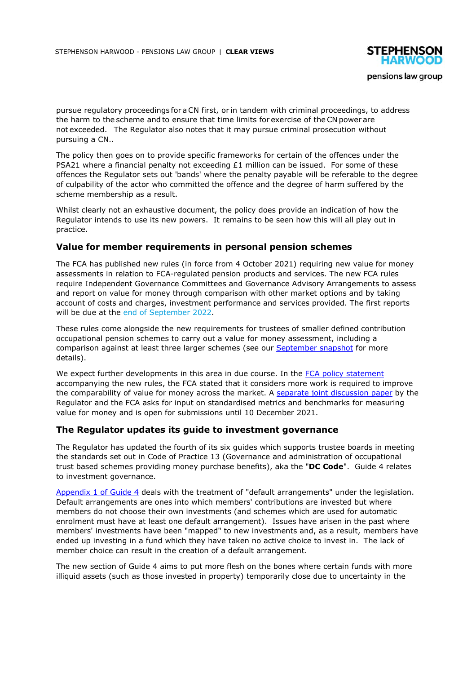

pursue regulatory proceedings for aCN first, or in tandem with criminal proceedings, to address the harm to the scheme and to ensure that time limits for exercise of the CN power are not exceeded. The Regulator also notes that it may pursue criminal prosecution without pursuing a CN..

The policy then goes on to provide specific frameworks for certain of the offences under the PSA21 where a financial penalty not exceeding  $£1$  million can be issued. For some of these offences the Regulator sets out 'bands' where the penalty payable will be referable to the degree of culpability of the actor who committed the offence and the degree of harm suffered by the scheme membership as a result.

Whilst clearly not an exhaustive document, the policy does provide an indication of how the Regulator intends to use its new powers. It remains to be seen how this will all play out in practice.

#### **Value for member requirements in personal pension schemes**

The FCA has published new rules (in force from 4 October 2021) requiring new value for money assessments in relation to FCA-regulated pension products and services. The new FCA rules require Independent Governance Committees and Governance Advisory Arrangements to assess and report on value for money through comparison with other market options and by taking account of costs and charges, investment performance and services provided. The first reports will be due at the end of September 2022.

These rules come alongside the new requirements for trustees of smaller defined contribution occupational pension schemes to carry out a value for money assessment, including a comparison against at least three larger schemes (see our September snapshot for more details).

We expect further developments in this area in due course. In the FCA policy statement accompanying the new rules, the FCA stated that it considers more work is required to improve the comparability of value for money across the market. A separate joint discussion paper by the Regulator and the FCA asks for input on standardised metrics and benchmarks for measuring value for money and is open for submissions until 10 December 2021.

#### **The Regulator updates its guide to investment governance**

The Regulator has updated the fourth of its six guides which supports trustee boards in meeting the standards set out in Code of Practice 13 (Governance and administration of occupational trust based schemes providing money purchase benefits), aka the "**DC Code**". Guide 4 relates to investment governance.

Appendix 1 of Guide 4 deals with the treatment of "default arrangements" under the legislation. Default arrangements are ones into which members' contributions are invested but where members do not choose their own investments (and schemes which are used for automatic enrolment must have at least one default arrangement). Issues have arisen in the past where members' investments have been "mapped" to new investments and, as a result, members have ended up investing in a fund which they have taken no active choice to invest in. The lack of member choice can result in the creation of a default arrangement.

The new section of Guide 4 aims to put more flesh on the bones where certain funds with more illiquid assets (such as those invested in property) temporarily close due to uncertainty in the